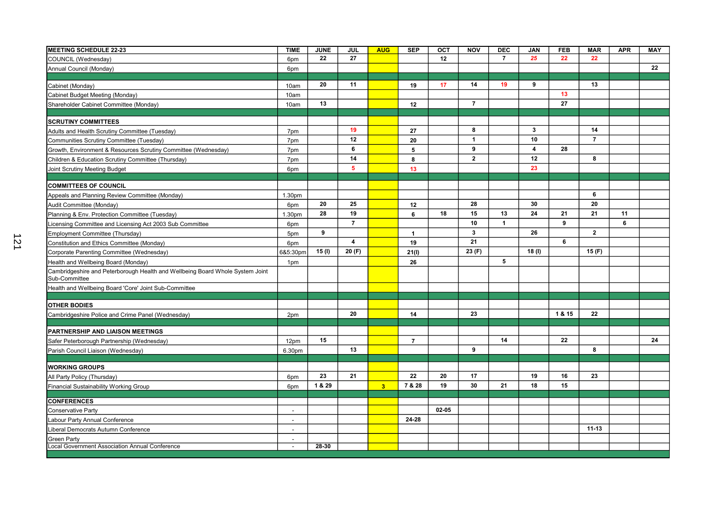| <b>MEETING SCHEDULE 22-23</b>                                                                  | <b>TIME</b>              | <b>JUNE</b> | JUL            | <b>AUG</b>              | <b>SEP</b>     | <b>OCT</b> | <b>NOV</b>     | <b>DEC</b>     | <b>JAN</b>     | <b>FEB</b> | <b>MAR</b>     | <b>APR</b> | MAY |
|------------------------------------------------------------------------------------------------|--------------------------|-------------|----------------|-------------------------|----------------|------------|----------------|----------------|----------------|------------|----------------|------------|-----|
| COUNCIL (Wednesday)                                                                            | 6pm                      | 22          | 27             |                         |                | 12         |                | $\overline{7}$ | 25             | 22         | 22             |            |     |
| Annual Council (Monday)                                                                        | 6pm                      |             |                |                         |                |            |                |                |                |            |                |            | 22  |
|                                                                                                |                          |             |                |                         |                |            |                |                |                |            |                |            |     |
| Cabinet (Monday)                                                                               | 10am                     | 20          | 11             |                         | 19             | 17         | 14             | 19             | 9              |            | 13             |            |     |
| Cabinet Budget Meeting (Monday)                                                                | 10am                     |             |                |                         |                |            |                |                |                | 13         |                |            |     |
| Shareholder Cabinet Committee (Monday)                                                         | 10am                     | 13          |                |                         | 12             |            | $\overline{7}$ |                |                | 27         |                |            |     |
| <b>SCRUTINY COMMITTEES</b>                                                                     |                          |             |                |                         |                |            |                |                |                |            |                |            |     |
| Adults and Health Scrutiny Committee (Tuesday)                                                 | 7pm                      |             | 19             |                         | 27             |            | 8              |                | $\mathbf{3}$   |            | 14             |            |     |
| Communities Scrutiny Committee (Tuesday)                                                       | 7pm                      |             | 12             |                         | 20             |            | $\mathbf{1}$   |                | 10             |            | $\overline{7}$ |            |     |
| Growth, Environment & Resources Scrutiny Committee (Wednesday)                                 | 7pm                      |             | 6              |                         | 5              |            | 9              |                | $\overline{4}$ | 28         |                |            |     |
| Children & Education Scrutiny Committee (Thursday)                                             | 7pm                      |             | 14             |                         | 8              |            | $\overline{2}$ |                | 12             |            | 8              |            |     |
| Joint Scrutiny Meeting Budget                                                                  | 6pm                      |             | 5              |                         | 13             |            |                |                | 23             |            |                |            |     |
|                                                                                                |                          |             |                |                         |                |            |                |                |                |            |                |            |     |
| <b>COMMITTEES OF COUNCIL</b>                                                                   |                          |             |                |                         |                |            |                |                |                |            |                |            |     |
| Appeals and Planning Review Committee (Monday)                                                 | 1.30pm                   |             |                |                         |                |            |                |                |                |            | 6              |            |     |
| Audit Committee (Monday)                                                                       | 6pm                      | 20          | 25             |                         | 12             |            | 28             |                | 30             |            | 20             |            |     |
| Planning & Env. Protection Committee (Tuesday)                                                 | 1.30pm                   | 28          | 19             |                         | 6              | 18         | 15             | 13             | 24             | 21         | 21             | 11         |     |
| Licensing Committee and Licensing Act 2003 Sub Committee                                       | 6pm                      |             | $\overline{7}$ |                         |                |            | 10             | $\overline{1}$ |                | 9          |                | 6          |     |
| Employment Committee (Thursday)                                                                | 5pm                      | 9           |                |                         | $\mathbf{1}$   |            | $\mathbf{3}$   |                | 26             |            | $\overline{2}$ |            |     |
| Constitution and Ethics Committee (Monday)                                                     | 6pm                      |             | $\overline{4}$ |                         | 19             |            | 21             |                |                | 6          |                |            |     |
| Corporate Parenting Committee (Wednesday)                                                      | 6&5:30pm                 | 15(1)       | 20(F)          |                         | 21(1)          |            | 23 (F)         |                | 18(1)          |            | 15 $(F)$       |            |     |
| Health and Wellbeing Board (Monday)                                                            | 1pm                      |             |                |                         | 26             |            |                | 5              |                |            |                |            |     |
| Cambridgeshire and Peterborough Health and Wellbeing Board Whole System Joint<br>Sub-Committee |                          |             |                |                         |                |            |                |                |                |            |                |            |     |
| Health and Wellbeing Board 'Core' Joint Sub-Committee                                          |                          |             |                |                         |                |            |                |                |                |            |                |            |     |
|                                                                                                |                          |             |                |                         |                |            |                |                |                |            |                |            |     |
| <b>OTHER BODIES</b>                                                                            |                          |             |                |                         |                |            |                |                |                |            |                |            |     |
| Cambridgeshire Police and Crime Panel (Wednesday)                                              | 2pm                      |             | 20             |                         | 14             |            | 23             |                |                | 1 & 15     | 22             |            |     |
|                                                                                                |                          |             |                |                         |                |            |                |                |                |            |                |            |     |
| PARTNERSHIP AND LIAISON MEETINGS                                                               |                          |             |                |                         |                |            |                |                |                |            |                |            |     |
| Safer Peterborough Partnership (Wednesday)                                                     | 12pm                     | 15          |                |                         | $\overline{7}$ |            |                | 14             |                | 22         |                |            | 24  |
| Parish Council Liaison (Wednesday)                                                             | 6.30pm                   |             | 13             |                         |                |            | 9              |                |                |            | 8              |            |     |
| <b>WORKING GROUPS</b>                                                                          |                          |             |                |                         |                |            |                |                |                |            |                |            |     |
| All Party Policy (Thursday)                                                                    | 6pm                      | 23          | 21             |                         | 22             | 20         | 17             |                | 19             | 16         | 23             |            |     |
| Financial Sustainability Working Group                                                         | 6pm                      | 1 & 29      |                | $\overline{\mathbf{3}}$ | 7 & 28         | 19         | 30             | 21             | 18             | 15         |                |            |     |
|                                                                                                |                          |             |                |                         |                |            |                |                |                |            |                |            |     |
| <b>CONFERENCES</b>                                                                             |                          |             |                |                         |                |            |                |                |                |            |                |            |     |
| <b>Conservative Party</b>                                                                      |                          |             |                |                         |                | $02 - 05$  |                |                |                |            |                |            |     |
| Labour Party Annual Conference                                                                 |                          |             |                |                         | 24-28          |            |                |                |                |            |                |            |     |
| Liberal Democrats Autumn Conference                                                            | $\overline{\phantom{a}}$ |             |                |                         |                |            |                |                |                |            | $11 - 13$      |            |     |
| <b>Green Party</b><br>Local Government Association Annual Conference                           |                          | $28 - 30$   |                |                         |                |            |                |                |                |            |                |            |     |
|                                                                                                | $\overline{\phantom{a}}$ |             |                |                         |                |            |                |                |                |            |                |            |     |